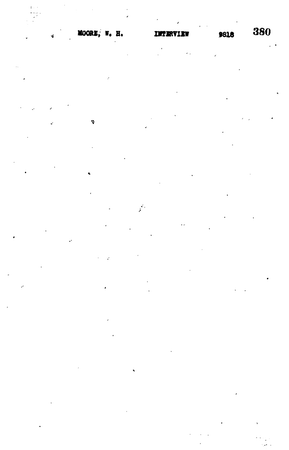ś

 $\frac{1}{2}$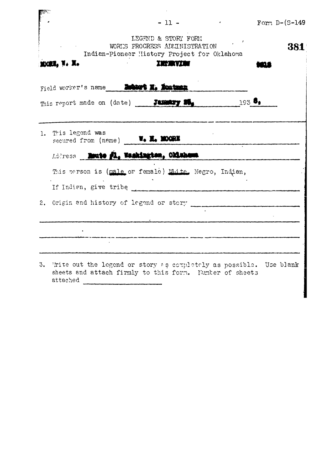| $-11 -$<br>Form $D-(S-149)$                                                                                                                    |
|------------------------------------------------------------------------------------------------------------------------------------------------|
| LEGEND & STORY FORM<br>WORLS PROCRESS ADMINISTRATION<br>381<br>Indian-Pioneer History Project for Oklahoma<br>MORE, W. K.<br><b>THE MAYZIN</b> |
| Field worker's name <b>Enthurt H. Rostman</b>                                                                                                  |
| This report made on (date) Junior 1935,                                                                                                        |
| 1. This legend was<br>secured from (name) <b>W. H. MOORN</b>                                                                                   |
| Address <b>Route 21, Washington, Oldshown</b>                                                                                                  |
| This person is (male or female) White Negro, Indian,                                                                                           |
| If Indian, give tribe                                                                                                                          |
|                                                                                                                                                |
| .<br>الماحسة الشام بالمجالة الإنسوال الشراعة المؤادسين، بك فكب كأن يها: "كُلّْمَا أنَّا مكب الألامية المريخة التي كأن و                        |
| .<br>Antiquis que a confessa fixadas por francese de a considera con el construir de la construction de la construc                            |
|                                                                                                                                                |
| 3. Trite out the legend or story as completely as possible. Use blank<br>choots and attach figmly to this four $\sum_{m}$ choots               |

sheets and attach firmly to this form. Number of sheets attached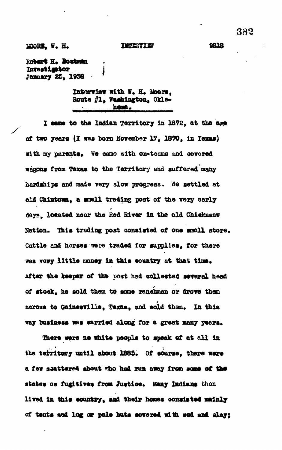**SSGBB, W. H. 2STENTISH S93S** 

Robert H. Bostman Investimator **jasasry 88, X938 f**

> Interview with W. H. Moore, **Boute #1, Washington, Okie-**<br>homa.

**X osae to the Indian Territory in 1872, at the of two years (I wag born November 17, 1870, in Toms)** with my parents. We came with ox-teams and covered **wagons from Texas to the Territory and suffered many hardships and made Tery slow progress. Via settled at old Chintowa, a small trading post of the very oarly d&ysg located near the Red Hirer In the old Chiekasatr Nation. This trading post consisted of one small store. Cattle and horses were traded for supplies, for there** was very little money in this country at that time. After the keeper of the post had collected several head **of stoek, he sold them to some ranebmaa or drore them** aeross to Gainesville, Texas, and sold them. In this **way taisl&ass was earrlsd along for a great many years\***

**There were no white people to speak of at all in the territory until about 1885. Of sourse, there wore a few aoatterM about rho had ran away from sons of th»**  $\mathbf{s}$  tas fugitives from Justice. Many Indians then **lived in this eountry, sad their hones consisted nslnly of tents sad log or polo hats severed witti sod and alay;**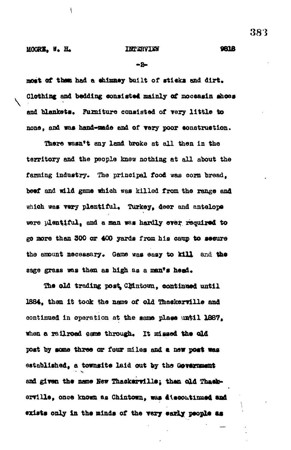**\**

**- 8 -**

most of them had a chimney built of sticks and dirt. Clothing and bedding consisted mainly of moceasin shoes and blankets. Furniture consisted of very little to **none, and was hand-made and of Tery poor construction.**

**Tksre wasn't any land broke at all then in the territory and the people knew nothing at all about the** farming industry. The principal food was corn bread, **be»f and wild game which was killed from the range and** which was very plentiful. Turkey, deer and antelope **were plentiful, and a man was hardly ever required to go more than 300 or 400 yards from his camp to seeure** the amount necessary. Game was easy to kill and the **sage grass was then as high as a man's head.**

The old trading post CHintown, continued until 1884, then it took the name of old Thaskerville and **continued in operation at the same plaee until 1887,** when a railroad came through. It missed the old **post by some three or four miles and a now post was** established, a townsite laid out by the Government **and given the name Hetr Thackenrills; then old Thaskorrllle, once known as Chintown, was dtsooutinued sad** exists only in the minds of the very early people as